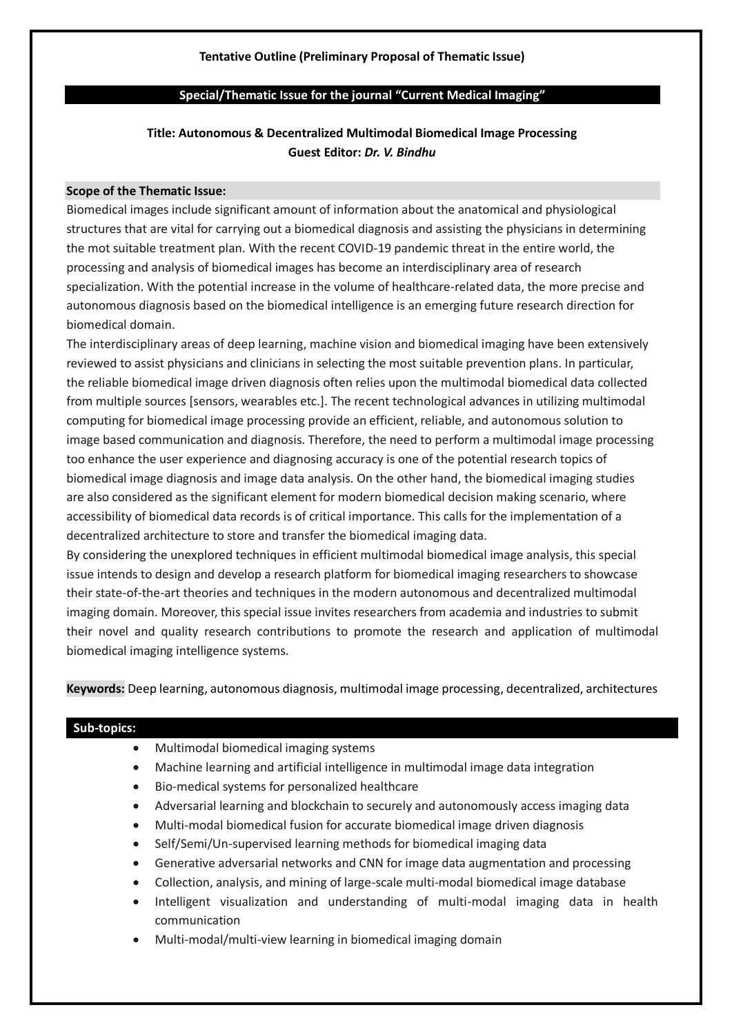# **Tentative Outline (Preliminary Proposal of Thematic Issue)**

### **Special/Thematic Issue for the journal "Current Medical Imaging"**

# **Title: Autonomous & Decentralized Multimodal Biomedical Image Processing Guest Editor:** *Dr. V. Bindhu*

#### **Scope of the Thematic Issue:**

Biomedical images include significant amount of information about the anatomical and physiological structures that are vital for carrying out a biomedical diagnosis and assisting the physicians in determining the mot suitable treatment plan. With the recent COVID-19 pandemic threat in the entire world, the processing and analysis of biomedical images has become an interdisciplinary area of research specialization. With the potential increase in the volume of healthcare-related data, the more precise and autonomous diagnosis based on the biomedical intelligence is an emerging future research direction for biomedical domain.

The interdisciplinary areas of deep learning, machine vision and biomedical imaging have been extensively reviewed to assist physicians and clinicians in selecting the most suitable prevention plans. In particular, the reliable biomedical image driven diagnosis often relies upon the multimodal biomedical data collected from multiple sources [sensors, wearables etc.]. The recent technological advances in utilizing multimodal computing for biomedical image processing provide an efficient, reliable, and autonomous solution to image based communication and diagnosis. Therefore, the need to perform a multimodal image processing too enhance the user experience and diagnosing accuracy is one of the potential research topics of biomedical image diagnosis and image data analysis. On the other hand, the biomedical imaging studies are also considered as the significant element for modern biomedical decision making scenario, where accessibility of biomedical data records is of critical importance. This calls for the implementation of a decentralized architecture to store and transfer the biomedical imaging data.

By considering the unexplored techniques in efficient multimodal biomedical image analysis, this special issue intends to design and develop a research platform for biomedical imaging researchers to showcase their state-of-the-art theories and techniques in the modern autonomous and decentralized multimodal imaging domain. Moreover, this special issue invites researchers from academia and industries to submit their novel and quality research contributions to promote the research and application of multimodal biomedical imaging intelligence systems.

**Keywords:** Deep learning, autonomous diagnosis, multimodal image processing, decentralized, architectures

### **Sub-topics:**

- Multimodal biomedical imaging systems
- Machine learning and artificial intelligence in multimodal image data integration
- Bio-medical systems for personalized healthcare
- Adversarial learning and blockchain to securely and autonomously access imaging data
- Multi-modal biomedical fusion for accurate biomedical image driven diagnosis
- Self/Semi/Un-supervised learning methods for biomedical imaging data
- Generative adversarial networks and CNN for image data augmentation and processing
- Collection, analysis, and mining of large-scale multi-modal biomedical image database
- Intelligent visualization and understanding of multi-modal imaging data in health communication
- Multi-modal/multi-view learning in biomedical imaging domain